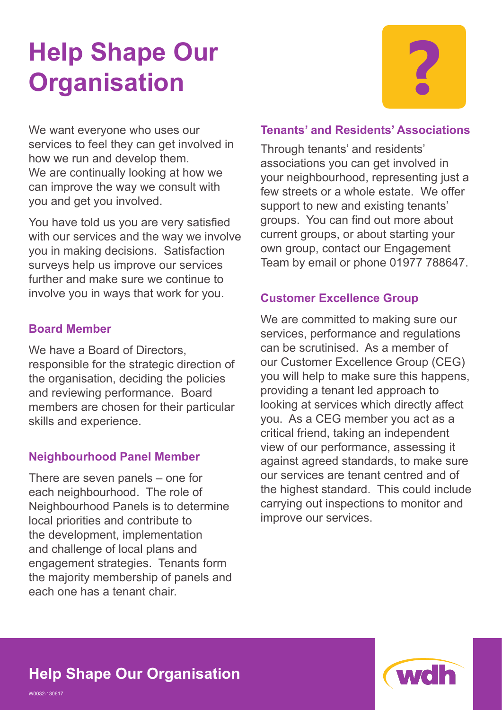# **Help Shape Our Parament Construction Parament Construction Parameter Parameter Parameter Parameter Parameter Parameter Parameter Parameter Parameter Parameter Parameter Parameter Parameter Parameter Parameter Parameter Parameter Paramet**

We want everyone who uses our services to feel they can get involved in how we run and develop them. We are continually looking at how we can improve the way we consult with you and get you involved.

You have told us you are very satisfied with our services and the way we involve you in making decisions. Satisfaction surveys help us improve our services further and make sure we continue to involve you in ways that work for you.

#### **Board Member**

We have a Board of Directors. responsible for the strategic direction of the organisation, deciding the policies and reviewing performance. Board members are chosen for their particular skills and experience.

#### **Neighbourhood Panel Member**

There are seven panels – one for each neighbourhood. The role of Neighbourhood Panels is to determine local priorities and contribute to the development, implementation and challenge of local plans and engagement strategies. Tenants form the majority membership of panels and each one has a tenant chair.

#### **Tenants' and Residents' Associations**

Through tenants' and residents' associations you can get involved in your neighbourhood, representing just a few streets or a whole estate. We offer support to new and existing tenants' groups. You can find out more about current groups, or about starting your own group, contact our Engagement Team by email or phone 01977 788647.

#### **Customer Excellence Group**

We are committed to making sure our services, performance and regulations can be scrutinised. As a member of our Customer Excellence Group (CEG) you will help to make sure this happens, providing a tenant led approach to looking at services which directly affect you. As a CEG member you act as a critical friend, taking an independent view of our performance, assessing it against agreed standards, to make sure our services are tenant centred and of the highest standard. This could include carrying out inspections to monitor and improve our services.



## **Help Shape Our Organisation**

W0032-130617